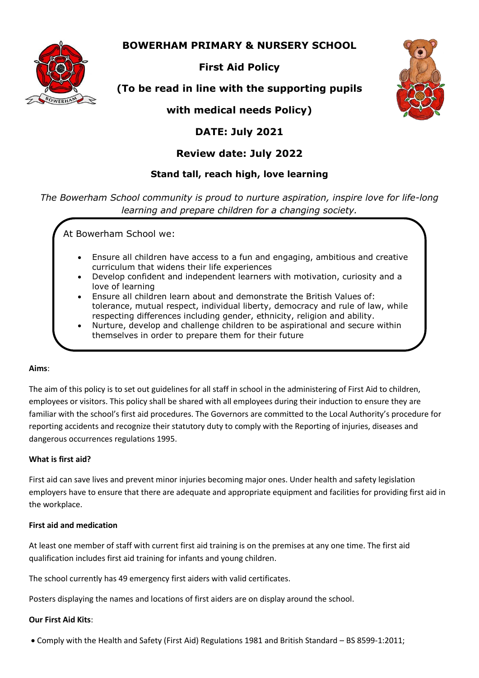## **BOWERHAM PRIMARY & NURSERY SCHOOL**



## **First Aid Policy**

# **(To be read in line with the supporting pupils**

**with medical needs Policy)**

## **DATE: July 2021**

## **Review date: July 2022**

### **Stand tall, reach high, love learning**

*The Bowerham School community is proud to nurture aspiration, inspire love for life-long learning and prepare children for a changing society.*

At Bowerham School we:

- Ensure all children have access to a fun and engaging, ambitious and creative curriculum that widens their life experiences
- Develop confident and independent learners with motivation, curiosity and a love of learning
- Ensure all children learn about and demonstrate the British Values of: tolerance, mutual respect, individual liberty, democracy and rule of law, while respecting differences including gender, ethnicity, religion and ability.
- Nurture, develop and challenge children to be aspirational and secure within themselves in order to prepare them for their future

#### **Aims**:

The aim of this policy is to set out guidelines for all staff in school in the administering of First Aid to children, employees or visitors. This policy shall be shared with all employees during their induction to ensure they are familiar with the school's first aid procedures. The Governors are committed to the Local Authority's procedure for reporting accidents and recognize their statutory duty to comply with the Reporting of injuries, diseases and dangerous occurrences regulations 1995.

#### **What is first aid?**

First aid can save lives and prevent minor injuries becoming major ones. Under health and safety legislation employers have to ensure that there are adequate and appropriate equipment and facilities for providing first aid in the workplace.

#### **First aid and medication**

At least one member of staff with current first aid training is on the premises at any one time. The first aid qualification includes first aid training for infants and young children.

The school currently has 49 emergency first aiders with valid certificates.

Posters displaying the names and locations of first aiders are on display around the school.

#### **Our First Aid Kits**:

Comply with the Health and Safety (First Aid) Regulations 1981 and British Standard – BS 8599-1:2011;

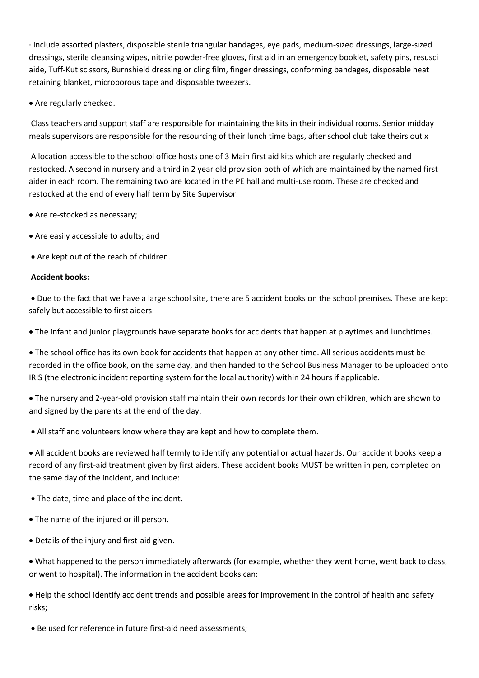· Include assorted plasters, disposable sterile triangular bandages, eye pads, medium-sized dressings, large-sized dressings, sterile cleansing wipes, nitrile powder-free gloves, first aid in an emergency booklet, safety pins, resusci aide, Tuff-Kut scissors, Burnshield dressing or cling film, finger dressings, conforming bandages, disposable heat retaining blanket, microporous tape and disposable tweezers.

• Are regularly checked.

Class teachers and support staff are responsible for maintaining the kits in their individual rooms. Senior midday meals supervisors are responsible for the resourcing of their lunch time bags, after school club take theirs out x

A location accessible to the school office hosts one of 3 Main first aid kits which are regularly checked and restocked. A second in nursery and a third in 2 year old provision both of which are maintained by the named first aider in each room. The remaining two are located in the PE hall and multi-use room. These are checked and restocked at the end of every half term by Site Supervisor.

- Are re-stocked as necessary;
- Are easily accessible to adults; and
- Are kept out of the reach of children.

#### **Accident books:**

 Due to the fact that we have a large school site, there are 5 accident books on the school premises. These are kept safely but accessible to first aiders.

The infant and junior playgrounds have separate books for accidents that happen at playtimes and lunchtimes.

 The school office has its own book for accidents that happen at any other time. All serious accidents must be recorded in the office book, on the same day, and then handed to the School Business Manager to be uploaded onto IRIS (the electronic incident reporting system for the local authority) within 24 hours if applicable.

 The nursery and 2-year-old provision staff maintain their own records for their own children, which are shown to and signed by the parents at the end of the day.

All staff and volunteers know where they are kept and how to complete them.

 All accident books are reviewed half termly to identify any potential or actual hazards. Our accident books keep a record of any first-aid treatment given by first aiders. These accident books MUST be written in pen, completed on the same day of the incident, and include:

- The date, time and place of the incident.
- The name of the injured or ill person.
- Details of the injury and first-aid given.

 What happened to the person immediately afterwards (for example, whether they went home, went back to class, or went to hospital). The information in the accident books can:

 Help the school identify accident trends and possible areas for improvement in the control of health and safety risks;

Be used for reference in future first-aid need assessments;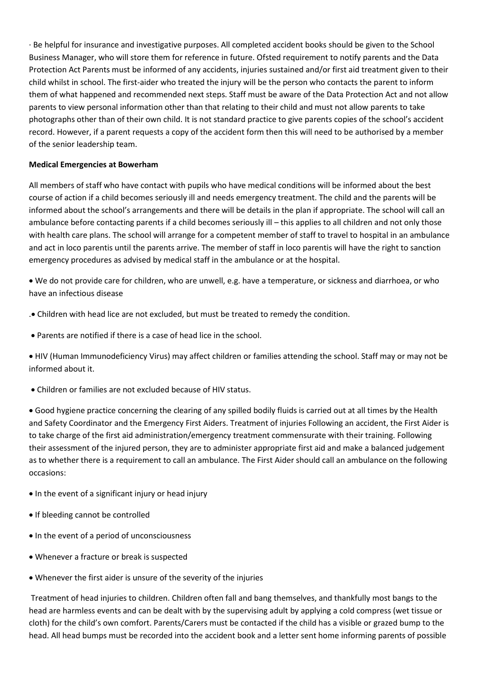· Be helpful for insurance and investigative purposes. All completed accident books should be given to the School Business Manager, who will store them for reference in future. Ofsted requirement to notify parents and the Data Protection Act Parents must be informed of any accidents, injuries sustained and/or first aid treatment given to their child whilst in school. The first-aider who treated the injury will be the person who contacts the parent to inform them of what happened and recommended next steps. Staff must be aware of the Data Protection Act and not allow parents to view personal information other than that relating to their child and must not allow parents to take photographs other than of their own child. It is not standard practice to give parents copies of the school's accident record. However, if a parent requests a copy of the accident form then this will need to be authorised by a member of the senior leadership team.

#### **Medical Emergencies at Bowerham**

All members of staff who have contact with pupils who have medical conditions will be informed about the best course of action if a child becomes seriously ill and needs emergency treatment. The child and the parents will be informed about the school's arrangements and there will be details in the plan if appropriate. The school will call an ambulance before contacting parents if a child becomes seriously ill – this applies to all children and not only those with health care plans. The school will arrange for a competent member of staff to travel to hospital in an ambulance and act in loco parentis until the parents arrive. The member of staff in loco parentis will have the right to sanction emergency procedures as advised by medical staff in the ambulance or at the hospital.

 We do not provide care for children, who are unwell, e.g. have a temperature, or sickness and diarrhoea, or who have an infectious disease

. Children with head lice are not excluded, but must be treated to remedy the condition.

Parents are notified if there is a case of head lice in the school.

 HIV (Human Immunodeficiency Virus) may affect children or families attending the school. Staff may or may not be informed about it.

Children or families are not excluded because of HIV status.

 Good hygiene practice concerning the clearing of any spilled bodily fluids is carried out at all times by the Health and Safety Coordinator and the Emergency First Aiders. Treatment of injuries Following an accident, the First Aider is to take charge of the first aid administration/emergency treatment commensurate with their training. Following their assessment of the injured person, they are to administer appropriate first aid and make a balanced judgement as to whether there is a requirement to call an ambulance. The First Aider should call an ambulance on the following occasions:

- In the event of a significant injury or head injury
- If bleeding cannot be controlled
- In the event of a period of unconsciousness
- Whenever a fracture or break is suspected
- Whenever the first aider is unsure of the severity of the injuries

Treatment of head injuries to children. Children often fall and bang themselves, and thankfully most bangs to the head are harmless events and can be dealt with by the supervising adult by applying a cold compress (wet tissue or cloth) for the child's own comfort. Parents/Carers must be contacted if the child has a visible or grazed bump to the head. All head bumps must be recorded into the accident book and a letter sent home informing parents of possible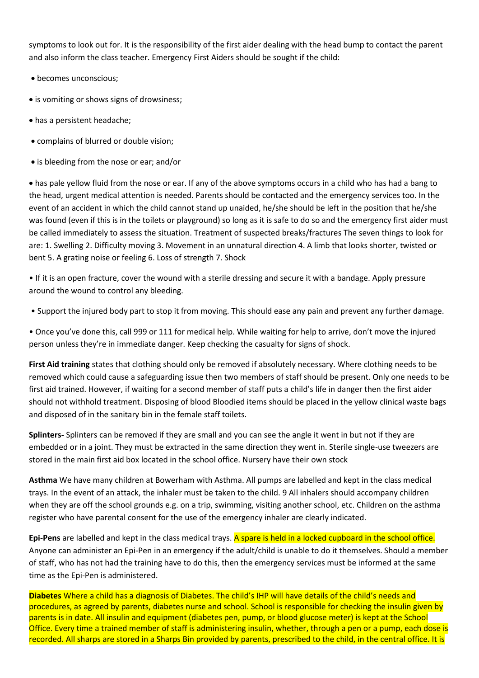symptoms to look out for. It is the responsibility of the first aider dealing with the head bump to contact the parent and also inform the class teacher. Emergency First Aiders should be sought if the child:

- becomes unconscious;
- is vomiting or shows signs of drowsiness;
- has a persistent headache;
- complains of blurred or double vision;
- is bleeding from the nose or ear; and/or

 has pale yellow fluid from the nose or ear. If any of the above symptoms occurs in a child who has had a bang to the head, urgent medical attention is needed. Parents should be contacted and the emergency services too. In the event of an accident in which the child cannot stand up unaided, he/she should be left in the position that he/she was found (even if this is in the toilets or playground) so long as it is safe to do so and the emergency first aider must be called immediately to assess the situation. Treatment of suspected breaks/fractures The seven things to look for are: 1. Swelling 2. Difficulty moving 3. Movement in an unnatural direction 4. A limb that looks shorter, twisted or bent 5. A grating noise or feeling 6. Loss of strength 7. Shock

• If it is an open fracture, cover the wound with a sterile dressing and secure it with a bandage. Apply pressure around the wound to control any bleeding.

• Support the injured body part to stop it from moving. This should ease any pain and prevent any further damage.

• Once you've done this, call 999 or 111 for medical help. While waiting for help to arrive, don't move the injured person unless they're in immediate danger. Keep checking the casualty for signs of shock.

**First Aid training** states that clothing should only be removed if absolutely necessary. Where clothing needs to be removed which could cause a safeguarding issue then two members of staff should be present. Only one needs to be first aid trained. However, if waiting for a second member of staff puts a child's life in danger then the first aider should not withhold treatment. Disposing of blood Bloodied items should be placed in the yellow clinical waste bags and disposed of in the sanitary bin in the female staff toilets.

**Splinters-** Splinters can be removed if they are small and you can see the angle it went in but not if they are embedded or in a joint. They must be extracted in the same direction they went in. Sterile single-use tweezers are stored in the main first aid box located in the school office. Nursery have their own stock

**Asthma** We have many children at Bowerham with Asthma. All pumps are labelled and kept in the class medical trays. In the event of an attack, the inhaler must be taken to the child. 9 All inhalers should accompany children when they are off the school grounds e.g. on a trip, swimming, visiting another school, etc. Children on the asthma register who have parental consent for the use of the emergency inhaler are clearly indicated.

**Epi-Pens** are labelled and kept in the class medical trays. A spare is held in a locked cupboard in the school office. Anyone can administer an Epi-Pen in an emergency if the adult/child is unable to do it themselves. Should a member of staff, who has not had the training have to do this, then the emergency services must be informed at the same time as the Epi-Pen is administered.

**Diabetes** Where a child has a diagnosis of Diabetes. The child's IHP will have details of the child's needs and procedures, as agreed by parents, diabetes nurse and school. School is responsible for checking the insulin given by parents is in date. All insulin and equipment (diabetes pen, pump, or blood glucose meter) is kept at the School Office. Every time a trained member of staff is administering insulin, whether, through a pen or a pump, each dose is recorded. All sharps are stored in a Sharps Bin provided by parents, prescribed to the child, in the central office. It is